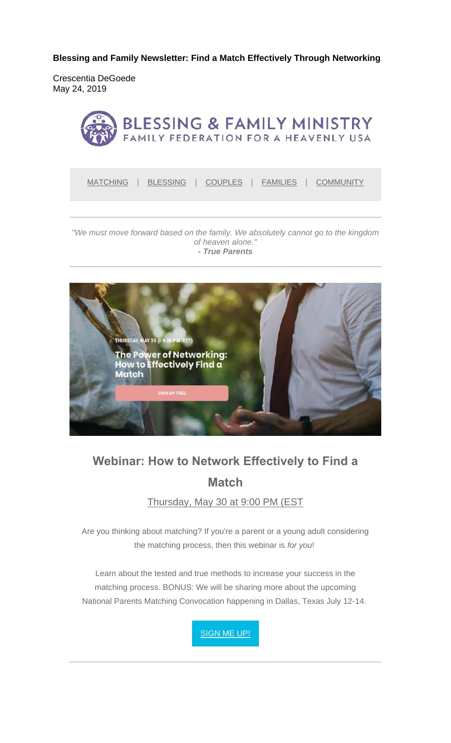**Blessing and Family Newsletter: Find a Match Effectively Through Networking** 

Crescentia DeGoede May 24, 2019



MATCHING | BLESSING | COUPLES | FAMILIES | COMMUNITY

#### *"We must move forward based on the family. We absolutely cannot go to the kingdom of heaven alone." - True Parents*



# **Webinar: How to Network Effectively to Find a Match**

Thursday, May 30 at 9:00 PM (EST

Are you thinking about matching? If you're a parent or a young adult considering the matching process, then this webinar is *for you*!

Learn about the tested and true methods to increase your success in the matching process. BONUS: We will be sharing more about the upcoming National Parents Matching Convocation happening in Dallas, Texas July 12-14.

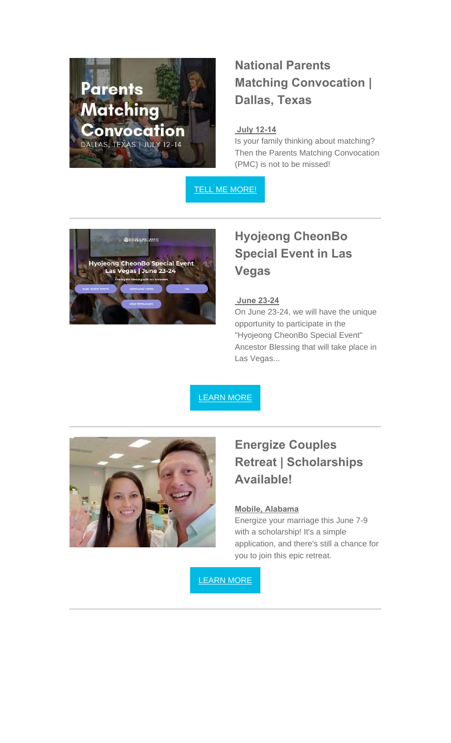

## **National Parents Matching Convocation | Dallas, Texas**

#### **July 12-14**

Is your family thinking about matching? Then the Parents Matching Convocation (PMC) is not to be missed!

TELL ME MORE!



# **Hyojeong CheonBo Special Event in Las Vegas**

#### **June 23-24**

On June 23-24, we will have the unique opportunity to participate in the "Hyojeong CheonBo Special Event" Ancestor Blessing that will take place in Las Vegas...

LEARN MORE



### **Energize Couples Retreat | Scholarships Available!**

#### **Mobile, Alabama**

Energize your marriage this June 7-9 with a scholarship! It's a simple application, and there's still a chance for you to join this epic retreat.

LEARN MORE